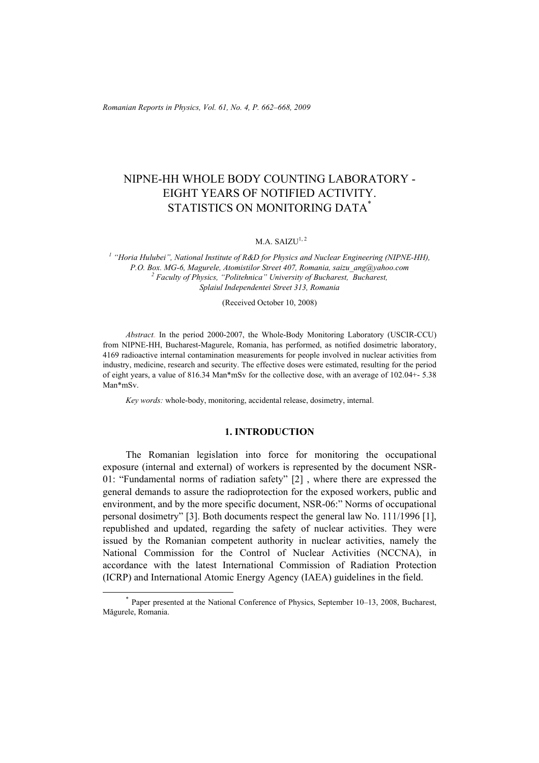*Romanian Reports in Physics, Vol. 61, No. 4, P. 662–668, 2009*

# NIPNE-HH WHOLE BODY COUNTING LABORATORY - EIGHT YEARS OF NOTIFIED ACTIVITY. STATISTICS ON MONITORING DATA\*

#### $M.A. SAIZU<sup>1, 2</sup>$

<sup>1</sup> "Horia Hulubei", National Institute of R&D for Physics and Nuclear Engineering (NIPNE-HH), *P.O. Box. MG-6, Magurele, Atomistilor Street 407, Romania, saizu\_ang@yahoo.com 2 Faculty of Physics, "Politehnica" University of Bucharest, Bucharest, Splaiul Independentei Street 313, Romania* 

(Received October 10, 2008)

*Abstract.* In the period 2000-2007, the Whole-Body Monitoring Laboratory (USCIR-CCU) from NIPNE-HH, Bucharest-Magurele, Romania, has performed, as notified dosimetric laboratory, 4169 radioactive internal contamination measurements for people involved in nuclear activities from industry, medicine, research and security. The effective doses were estimated, resulting for the period of eight years, a value of 816.34 Man\*mSv for the collective dose, with an average of 102.04+- 5.38 Man\*mSv.

*Key words:* whole-body, monitoring, accidental release, dosimetry, internal.

## **1. INTRODUCTION**

The Romanian legislation into force for monitoring the occupational exposure (internal and external) of workers is represented by the document NSR-01: "Fundamental norms of radiation safety" [2] , where there are expressed the general demands to assure the radioprotection for the exposed workers, public and environment, and by the more specific document, NSR-06:" Norms of occupational personal dosimetry" [3]. Both documents respect the general law No. 111/1996 [1], republished and updated, regarding the safety of nuclear activities. They were issued by the Romanian competent authority in nuclear activities, namely the National Commission for the Control of Nuclear Activities (NCCNA), in accordance with the latest International Commission of Radiation Protection (ICRP) and International Atomic Energy Agency (IAEA) guidelines in the field.

 <sup>\*</sup> Paper presented at the National Conference of Physics, September 10–13, 2008, Bucharest, Măgurele, Romania.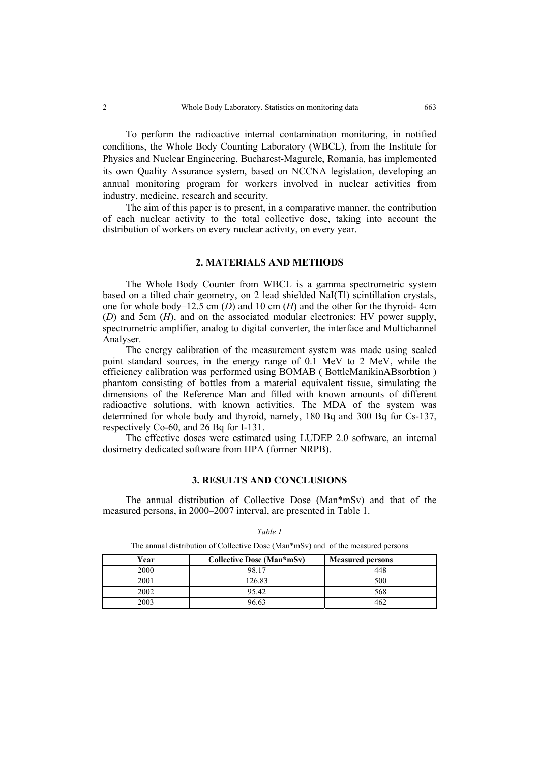To perform the radioactive internal contamination monitoring, in notified conditions, the Whole Body Counting Laboratory (WBCL), from the Institute for Physics and Nuclear Engineering, Bucharest-Magurele, Romania, has implemented its own Quality Assurance system, based on NCCNA legislation, developing an annual monitoring program for workers involved in nuclear activities from industry, medicine, research and security.

The aim of this paper is to present, in a comparative manner, the contribution of each nuclear activity to the total collective dose, taking into account the distribution of workers on every nuclear activity, on every year.

### **2. MATERIALS AND METHODS**

The Whole Body Counter from WBCL is a gamma spectrometric system based on a tilted chair geometry, on 2 lead shielded NaI(Tl) scintillation crystals, one for whole body–12.5 cm (*D*) and 10 cm (*H*) and the other for the thyroid- 4cm (*D*) and 5cm (*H*), and on the associated modular electronics: HV power supply, spectrometric amplifier, analog to digital converter, the interface and Multichannel Analyser.

The energy calibration of the measurement system was made using sealed point standard sources, in the energy range of 0.1 MeV to 2 MeV, while the efficiency calibration was performed using BOMAB ( BottleManikinABsorbtion ) phantom consisting of bottles from a material equivalent tissue, simulating the dimensions of the Reference Man and filled with known amounts of different radioactive solutions, with known activities. The MDA of the system was determined for whole body and thyroid, namely, 180 Bq and 300 Bq for Cs-137, respectively Co-60, and 26 Bq for I-131.

The effective doses were estimated using LUDEP 2.0 software, an internal dosimetry dedicated software from HPA (former NRPB).

#### **3. RESULTS AND CONCLUSIONS**

The annual distribution of Collective Dose (Man\*mSv) and that of the measured persons, in 2000–2007 interval, are presented in Table 1.

| The million divilly and $\sigma_1$ will be word to be $\sigma_2$ and $\sigma_3$ and $\sigma_4$ in the intervention performs. |                                  |                         |  |  |  |
|------------------------------------------------------------------------------------------------------------------------------|----------------------------------|-------------------------|--|--|--|
| Year                                                                                                                         | <b>Collective Dose (Man*mSv)</b> | <b>Measured persons</b> |  |  |  |
| 2000                                                                                                                         | 98 17                            | 448                     |  |  |  |
| 2001                                                                                                                         | 126.83                           | 500                     |  |  |  |
| 2002                                                                                                                         | 95.42                            | 568                     |  |  |  |
| 2003                                                                                                                         | 96.63                            | 462                     |  |  |  |

#### *Table 1*

The annual distribution of Collective Dose (Man\*mSv) and of the measured persons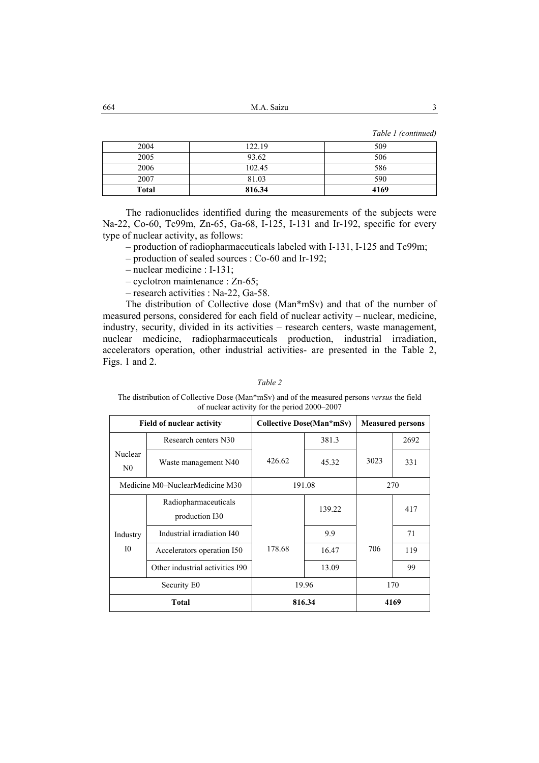M.A. Saizu 3 664

*Table 1 (continued)* 

| 2004         | 122.19 | 509  |
|--------------|--------|------|
| 2005         | 93.62  | 506  |
| 2006         | 102.45 | 586  |
| 2007         | 81.03  | 590  |
| <b>Total</b> | 816.34 | 4169 |

The radionuclides identified during the measurements of the subjects were Na-22, Co-60, Tc99m, Zn-65, Ga-68, I-125, I-131 and Ir-192, specific for every type of nuclear activity, as follows:

– production of radiopharmaceuticals labeled with I-131, I-125 and Tc99m;

- production of sealed sources : Co-60 and Ir-192;
- nuclear medicine : I-131;
- cyclotron maintenance : Zn-65;
- research activities : Na-22, Ga-58.

The distribution of Collective dose (Man\*mSv) and that of the number of measured persons, considered for each field of nuclear activity – nuclear, medicine, industry, security, divided in its activities – research centers, waste management, nuclear medicine, radiopharmaceuticals production, industrial irradiation, accelerators operation, other industrial activities- are presented in the Table 2, Figs. 1 and 2.

#### *Table 2*

The distribution of Collective Dose (Man\*mSv) and of the measured persons *versus* the field of nuclear activity for the period 2000–2007

| <b>Field of nuclear activity</b> |                                        | <b>Collective Dose(Man*mSv)</b> |        | <b>Measured persons</b> |      |
|----------------------------------|----------------------------------------|---------------------------------|--------|-------------------------|------|
|                                  | Research centers N30                   |                                 | 381.3  |                         | 2692 |
| Nuclear<br>N <sub>0</sub>        | Waste management N40                   | 426.62                          | 45.32  | 3023                    | 331  |
| Medicine M0–NuclearMedicine M30  |                                        | 191.08                          |        | 270                     |      |
| Industry<br>10                   | Radiopharmaceuticals<br>production I30 |                                 | 139.22 |                         | 417  |
|                                  | Industrial irradiation I40             |                                 | 9.9    | 706                     | 71   |
|                                  | Accelerators operation I50             | 178.68                          | 16.47  |                         | 119  |
|                                  | Other industrial activities I90        |                                 | 13.09  |                         | 99   |
| Security E0                      |                                        | 19.96                           |        | 170                     |      |
| <b>Total</b>                     |                                        | 816.34                          |        | 4169                    |      |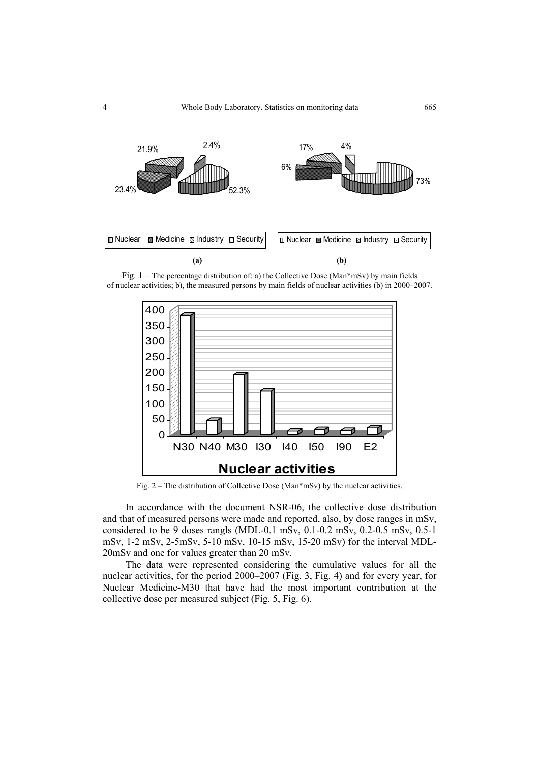

Fig. 1 – The percentage distribution of: a) the Collective Dose (Man\*mSv) by main fields of nuclear activities; b), the measured persons by main fields of nuclear activities (b) in 2000–2007.



Fig. 2 – The distribution of Collective Dose (Man\*mSv) by the nuclear activities.

In accordance with the document NSR-06, the collective dose distribution and that of measured persons were made and reported, also, by dose ranges in mSv, considered to be 9 doses rangls (MDL-0.1 mSv, 0.1-0.2 mSv, 0.2-0.5 mSv, 0.5-1 mSv, 1-2 mSv, 2-5mSv, 5-10 mSv, 10-15 mSv, 15-20 mSv) for the interval MDL-20mSv and one for values greater than 20 mSv.

The data were represented considering the cumulative values for all the nuclear activities, for the period 2000–2007 (Fig. 3, Fig. 4) and for every year, for Nuclear Medicine-M30 that have had the most important contribution at the collective dose per measured subject (Fig. 5, Fig. 6).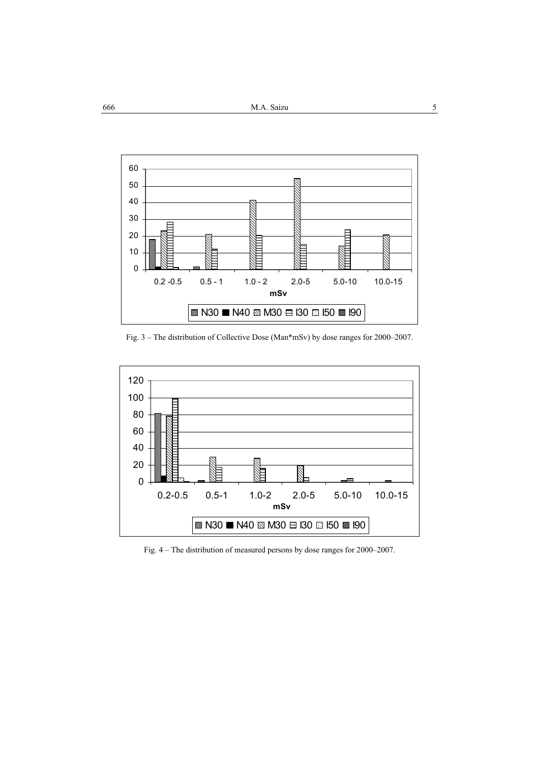

Fig. 3 – The distribution of Collective Dose (Man\*mSv) by dose ranges for 2000–2007.



Fig. 4 – The distribution of measured persons by dose ranges for 2000–2007.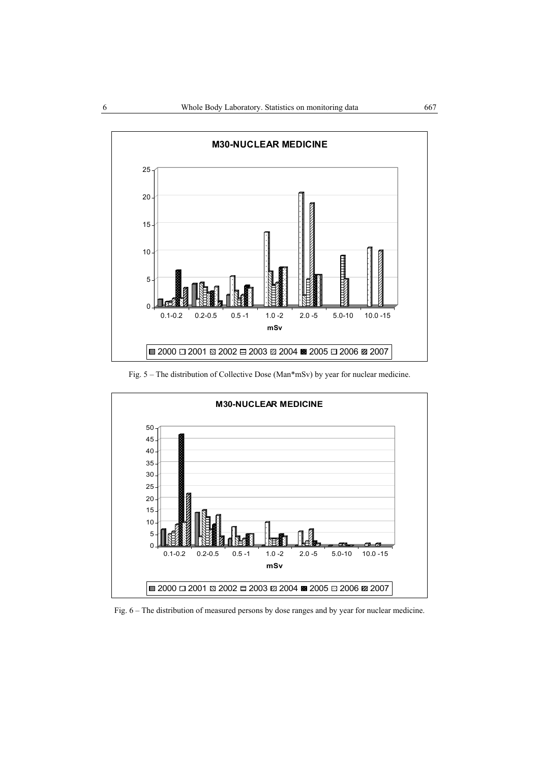

Fig. 5 – The distribution of Collective Dose (Man\*mSv) by year for nuclear medicine.



Fig. 6 – The distribution of measured persons by dose ranges and by year for nuclear medicine.